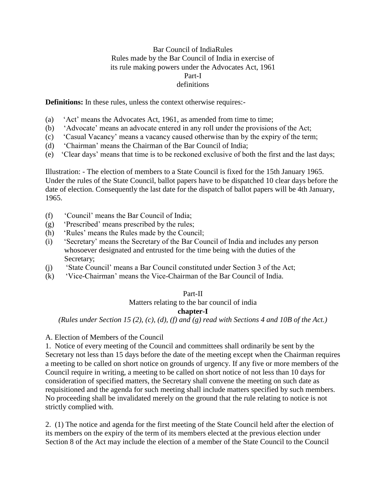# Bar Council of IndiaRules Rules made by the Bar Council of India in exercise of its rule making powers under the Advocates Act, 1961 Part-I definitions

**Definitions:** In these rules, unless the context otherwise requires:-

- (a) 'Act' means the Advocates Act, 1961, as amended from time to time;
- (b) 'Advocate' means an advocate entered in any roll under the provisions of the Act;
- (c) 'Casual Vacancy' means a vacancy caused otherwise than by the expiry of the term;
- (d) 'Chairman' means the Chairman of the Bar Council of India;
- (e) 'Clear days' means that time is to be reckoned exclusive of both the first and the last days;

Illustration: - The election of members to a State Council is fixed for the 15th January 1965. Under the rules of the State Council, ballot papers have to be dispatched 10 clear days before the date of election. Consequently the last date for the dispatch of ballot papers will be 4th January, 1965.

- (f) 'Council' means the Bar Council of India;
- (g) 'Prescribed' means prescribed by the rules;
- (h) 'Rules' means the Rules made by the Council;
- (i) 'Secretary' means the Secretary of the Bar Council of India and includes any person whosoever designated and entrusted for the time being with the duties of the Secretary;
- (j) 'State Council' means a Bar Council constituted under Section 3 of the Act;
- (k) 'Vice-Chairman' means the Vice-Chairman of the Bar Council of India.

# Part-II

Matters relating to the bar council of india

# **chapter-I**

*(Rules under Section 15 (2), (c), (d), (f) and (g) read with Sections 4 and 10B of the Act.)*

# A. Election of Members of the Council

1. Notice of every meeting of the Council and committees shall ordinarily be sent by the Secretary not less than 15 days before the date of the meeting except when the Chairman requires a meeting to be called on short notice on grounds of urgency. If any five or more members of the Council require in writing, a meeting to be called on short notice of not less than 10 days for consideration of specified matters, the Secretary shall convene the meeting on such date as requisitioned and the agenda for such meeting shall include matters specified by such members. No proceeding shall be invalidated merely on the ground that the rule relating to notice is not strictly complied with.

2. (1) The notice and agenda for the first meeting of the State Council held after the election of its members on the expiry of the term of its members elected at the previous election under Section 8 of the Act may include the election of a member of the State Council to the Council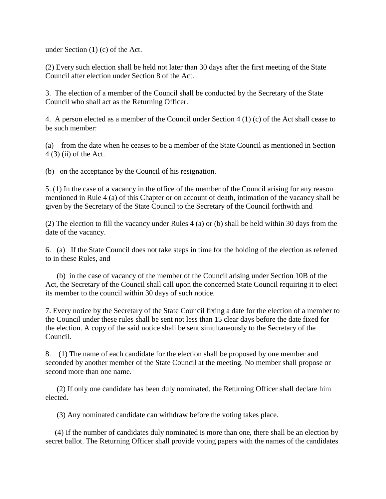under Section (1) (c) of the Act.

(2) Every such election shall be held not later than 30 days after the first meeting of the State Council after election under Section 8 of the Act.

3. The election of a member of the Council shall be conducted by the Secretary of the State Council who shall act as the Returning Officer.

4. A person elected as a member of the Council under Section 4 (1) (c) of the Act shall cease to be such member:

(a) from the date when he ceases to be a member of the State Council as mentioned in Section 4 (3) (ii) of the Act.

(b) on the acceptance by the Council of his resignation.

5. (1) In the case of a vacancy in the office of the member of the Council arising for any reason mentioned in Rule 4 (a) of this Chapter or on account of death, intimation of the vacancy shall be given by the Secretary of the State Council to the Secretary of the Council forthwith and

(2) The election to fill the vacancy under Rules 4 (a) or (b) shall be held within 30 days from the date of the vacancy.

6. (a) If the State Council does not take steps in time for the holding of the election as referred to in these Rules, and

(b) in the case of vacancy of the member of the Council arising under Section 10B of the Act, the Secretary of the Council shall call upon the concerned State Council requiring it to elect its member to the council within 30 days of such notice.

7. Every notice by the Secretary of the State Council fixing a date for the election of a member to the Council under these rules shall be sent not less than 15 clear days before the date fixed for the election. A copy of the said notice shall be sent simultaneously to the Secretary of the Council.

8. (1) The name of each candidate for the election shall be proposed by one member and seconded by another member of the State Council at the meeting. No member shall propose or second more than one name.

(2) If only one candidate has been duly nominated, the Returning Officer shall declare him elected.

(3) Any nominated candidate can withdraw before the voting takes place.

(4) If the number of candidates duly nominated is more than one, there shall be an election by secret ballot. The Returning Officer shall provide voting papers with the names of the candidates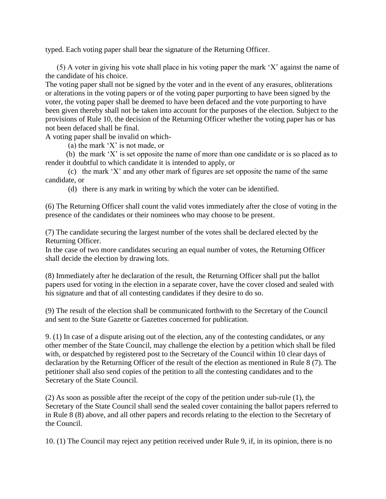typed. Each voting paper shall bear the signature of the Returning Officer.

(5) A voter in giving his vote shall place in his voting paper the mark 'X' against the name of the candidate of his choice.

The voting paper shall not be signed by the voter and in the event of any erasures, obliterations or alterations in the voting papers or of the voting paper purporting to have been signed by the voter, the voting paper shall be deemed to have been defaced and the vote purporting to have been given thereby shall not be taken into account for the purposes of the election. Subject to the provisions of Rule 10, the decision of the Returning Officer whether the voting paper has or has not been defaced shall be final.

A voting paper shall be invalid on which-

(a) the mark 'X' is not made, or

(b) the mark 'X' is set opposite the name of more than one candidate or is so placed as to render it doubtful to which candidate it is intended to apply, or

(c) the mark 'X' and any other mark of figures are set opposite the name of the same candidate, or

(d) there is any mark in writing by which the voter can be identified.

(6) The Returning Officer shall count the valid votes immediately after the close of voting in the presence of the candidates or their nominees who may choose to be present.

(7) The candidate securing the largest number of the votes shall be declared elected by the Returning Officer.

In the case of two more candidates securing an equal number of votes, the Returning Officer shall decide the election by drawing lots.

(8) Immediately after he declaration of the result, the Returning Officer shall put the ballot papers used for voting in the election in a separate cover, have the cover closed and sealed with his signature and that of all contesting candidates if they desire to do so.

(9) The result of the election shall be communicated forthwith to the Secretary of the Council and sent to the State Gazette or Gazettes concerned for publication.

9. (1) In case of a dispute arising out of the election, any of the contesting candidates, or any other member of the State Council, may challenge the election by a petition which shall be filed with, or despatched by registered post to the Secretary of the Council within 10 clear days of declaration by the Returning Officer of the result of the election as mentioned in Rule 8 (7). The petitioner shall also send copies of the petition to all the contesting candidates and to the Secretary of the State Council.

(2) As soon as possible after the receipt of the copy of the petition under sub-rule (1), the Secretary of the State Council shall send the sealed cover containing the ballot papers referred to in Rule 8 (8) above, and all other papers and records relating to the election to the Secretary of the Council.

10. (1) The Council may reject any petition received under Rule 9, if, in its opinion, there is no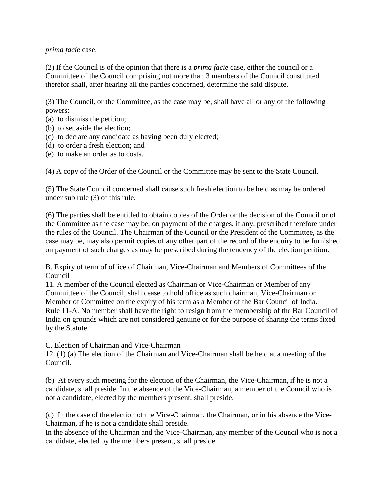# *prima facie* case.

(2) If the Council is of the opinion that there is a *prima facie* case, either the council or a Committee of the Council comprising not more than 3 members of the Council constituted therefor shall, after hearing all the parties concerned, determine the said dispute.

(3) The Council, or the Committee, as the case may be, shall have all or any of the following powers:

- (a) to dismiss the petition;
- (b) to set aside the election;
- (c) to declare any candidate as having been duly elected;
- (d) to order a fresh election; and
- (e) to make an order as to costs.

(4) A copy of the Order of the Council or the Committee may be sent to the State Council.

(5) The State Council concerned shall cause such fresh election to be held as may be ordered under sub rule (3) of this rule.

(6) The parties shall be entitled to obtain copies of the Order or the decision of the Council or of the Committee as the case may be, on payment of the charges, if any, prescribed therefore under the rules of the Council. The Chairman of the Council or the President of the Committee, as the case may be, may also permit copies of any other part of the record of the enquiry to be furnished on payment of such charges as may be prescribed during the tendency of the election petition.

B. Expiry of term of office of Chairman, Vice-Chairman and Members of Committees of the Council

11. A member of the Council elected as Chairman or Vice-Chairman or Member of any Committee of the Council, shall cease to hold office as such chairman, Vice-Chairman or Member of Committee on the expiry of his term as a Member of the Bar Council of India. Rule 11-A. No member shall have the right to resign from the membership of the Bar Council of India on grounds which are not considered genuine or for the purpose of sharing the terms fixed by the Statute.

C. Election of Chairman and Vice-Chairman

12. (1) (a) The election of the Chairman and Vice-Chairman shall be held at a meeting of the Council.

(b) At every such meeting for the election of the Chairman, the Vice-Chairman, if he is not a candidate, shall preside. In the absence of the Vice-Chairman, a member of the Council who is not a candidate, elected by the members present, shall preside.

(c) In the case of the election of the Vice-Chairman, the Chairman, or in his absence the Vice-Chairman, if he is not a candidate shall preside.

In the absence of the Chairman and the Vice-Chairman, any member of the Council who is not a candidate, elected by the members present, shall preside.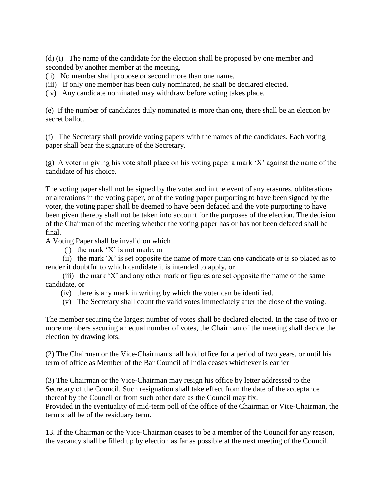(d) (i) The name of the candidate for the election shall be proposed by one member and seconded by another member at the meeting.

- (ii) No member shall propose or second more than one name.
- (iii) If only one member has been duly nominated, he shall be declared elected.
- (iv) Any candidate nominated may withdraw before voting takes place.

(e) If the number of candidates duly nominated is more than one, there shall be an election by secret ballot.

(f) The Secretary shall provide voting papers with the names of the candidates. Each voting paper shall bear the signature of the Secretary.

(g) A voter in giving his vote shall place on his voting paper a mark 'X' against the name of the candidate of his choice.

The voting paper shall not be signed by the voter and in the event of any erasures, obliterations or alterations in the voting paper, or of the voting paper purporting to have been signed by the voter, the voting paper shall be deemed to have been defaced and the vote purporting to have been given thereby shall not be taken into account for the purposes of the election. The decision of the Chairman of the meeting whether the voting paper has or has not been defaced shall be final.

A Voting Paper shall be invalid on which

(i) the mark 'X' is not made, or

 (ii) the mark 'X' is set opposite the name of more than one candidate or is so placed as to render it doubtful to which candidate it is intended to apply, or

 (iii) the mark 'X' and any other mark or figures are set opposite the name of the same candidate, or

- (iv) there is any mark in writing by which the voter can be identified.
- (v) The Secretary shall count the valid votes immediately after the close of the voting.

The member securing the largest number of votes shall be declared elected. In the case of two or more members securing an equal number of votes, the Chairman of the meeting shall decide the election by drawing lots.

(2) The Chairman or the Vice-Chairman shall hold office for a period of two years, or until his term of office as Member of the Bar Council of India ceases whichever is earlier

(3) The Chairman or the Vice-Chairman may resign his office by letter addressed to the Secretary of the Council. Such resignation shall take effect from the date of the acceptance thereof by the Council or from such other date as the Council may fix. Provided in the eventuality of mid-term poll of the office of the Chairman or Vice-Chairman, the term shall be of the residuary term.

13. If the Chairman or the Vice-Chairman ceases to be a member of the Council for any reason, the vacancy shall be filled up by election as far as possible at the next meeting of the Council.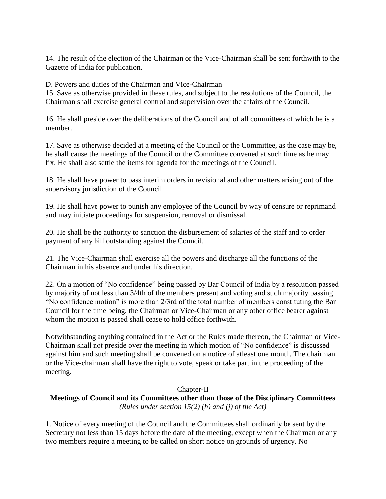14. The result of the election of the Chairman or the Vice-Chairman shall be sent forthwith to the Gazette of India for publication.

D. Powers and duties of the Chairman and Vice-Chairman

15. Save as otherwise provided in these rules, and subject to the resolutions of the Council, the Chairman shall exercise general control and supervision over the affairs of the Council.

16. He shall preside over the deliberations of the Council and of all committees of which he is a member.

17. Save as otherwise decided at a meeting of the Council or the Committee, as the case may be, he shall cause the meetings of the Council or the Committee convened at such time as he may fix. He shall also settle the items for agenda for the meetings of the Council.

18. He shall have power to pass interim orders in revisional and other matters arising out of the supervisory jurisdiction of the Council.

19. He shall have power to punish any employee of the Council by way of censure or reprimand and may initiate proceedings for suspension, removal or dismissal.

20. He shall be the authority to sanction the disbursement of salaries of the staff and to order payment of any bill outstanding against the Council.

21. The Vice-Chairman shall exercise all the powers and discharge all the functions of the Chairman in his absence and under his direction.

22. On a motion of "No confidence" being passed by Bar Council of India by a resolution passed by majority of not less than 3/4th of the members present and voting and such majority passing "No confidence motion" is more than 2/3rd of the total number of members constituting the Bar Council for the time being, the Chairman or Vice-Chairman or any other office bearer against whom the motion is passed shall cease to hold office forthwith.

Notwithstanding anything contained in the Act or the Rules made thereon, the Chairman or Vice-Chairman shall not preside over the meeting in which motion of "No confidence" is discussed against him and such meeting shall be convened on a notice of atleast one month. The chairman or the Vice-chairman shall have the right to vote, speak or take part in the proceeding of the meeting.

# Chapter-II

**Meetings of Council and its Committees other than those of the Disciplinary Committees** *(Rules under section 15(2) (h) and (j) of the Act)*

1. Notice of every meeting of the Council and the Committees shall ordinarily be sent by the Secretary not less than 15 days before the date of the meeting, except when the Chairman or any two members require a meeting to be called on short notice on grounds of urgency. No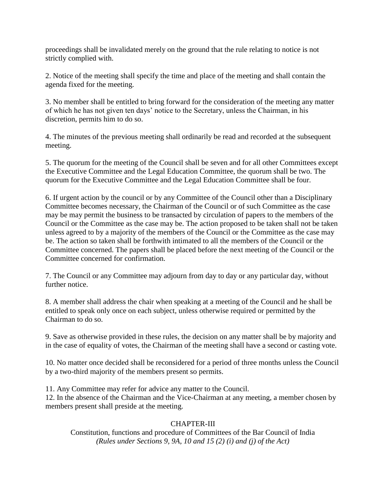proceedings shall be invalidated merely on the ground that the rule relating to notice is not strictly complied with.

2. Notice of the meeting shall specify the time and place of the meeting and shall contain the agenda fixed for the meeting.

3. No member shall be entitled to bring forward for the consideration of the meeting any matter of which he has not given ten days' notice to the Secretary, unless the Chairman, in his discretion, permits him to do so.

4. The minutes of the previous meeting shall ordinarily be read and recorded at the subsequent meeting.

5. The quorum for the meeting of the Council shall be seven and for all other Committees except the Executive Committee and the Legal Education Committee, the quorum shall be two. The quorum for the Executive Committee and the Legal Education Committee shall be four.

6. If urgent action by the council or by any Committee of the Council other than a Disciplinary Committee becomes necessary, the Chairman of the Council or of such Committee as the case may be may permit the business to be transacted by circulation of papers to the members of the Council or the Committee as the case may be. The action proposed to be taken shall not be taken unless agreed to by a majority of the members of the Council or the Committee as the case may be. The action so taken shall be forthwith intimated to all the members of the Council or the Committee concerned. The papers shall be placed before the next meeting of the Council or the Committee concerned for confirmation.

7. The Council or any Committee may adjourn from day to day or any particular day, without further notice.

8. A member shall address the chair when speaking at a meeting of the Council and he shall be entitled to speak only once on each subject, unless otherwise required or permitted by the Chairman to do so.

9. Save as otherwise provided in these rules, the decision on any matter shall be by majority and in the case of equality of votes, the Chairman of the meeting shall have a second or casting vote.

10. No matter once decided shall be reconsidered for a period of three months unless the Council by a two-third majority of the members present so permits.

11. Any Committee may refer for advice any matter to the Council.

12. In the absence of the Chairman and the Vice-Chairman at any meeting, a member chosen by members present shall preside at the meeting.

# CHAPTER-III

Constitution, functions and procedure of Committees of the Bar Council of India *(Rules under Sections 9, 9A, 10 and 15 (2) (i) and (j) of the Act)*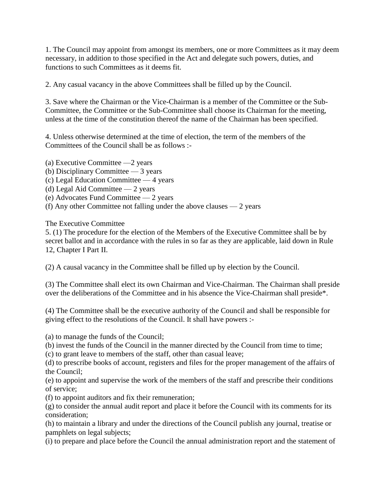1. The Council may appoint from amongst its members, one or more Committees as it may deem necessary, in addition to those specified in the Act and delegate such powers, duties, and functions to such Committees as it deems fit.

2. Any casual vacancy in the above Committees shall be filled up by the Council.

3. Save where the Chairman or the Vice-Chairman is a member of the Committee or the Sub-Committee, the Committee or the Sub-Committee shall choose its Chairman for the meeting, unless at the time of the constitution thereof the name of the Chairman has been specified.

4. Unless otherwise determined at the time of election, the term of the members of the Committees of the Council shall be as follows :-

(a) Executive Committee —2 years (b) Disciplinary Committee — 3 years (c) Legal Education Committee — 4 years

(d) Legal Aid Committee — 2 years

(e) Advocates Fund Committee — 2 years

(f) Any other Committee not falling under the above clauses — 2 years

The Executive Committee

5. (1) The procedure for the election of the Members of the Executive Committee shall be by secret ballot and in accordance with the rules in so far as they are applicable, laid down in Rule 12, Chapter I Part II.

(2) A causal vacancy in the Committee shall be filled up by election by the Council.

(3) The Committee shall elect its own Chairman and Vice-Chairman. The Chairman shall preside over the deliberations of the Committee and in his absence the Vice-Chairman shall preside\*.

(4) The Committee shall be the executive authority of the Council and shall be responsible for giving effect to the resolutions of the Council. It shall have powers :-

(a) to manage the funds of the Council;

(b) invest the funds of the Council in the manner directed by the Council from time to time;

(c) to grant leave to members of the staff, other than casual leave;

(d) to prescribe books of account, registers and files for the proper management of the affairs of the Council;

(e) to appoint and supervise the work of the members of the staff and prescribe their conditions of service;

(f) to appoint auditors and fix their remuneration;

(g) to consider the annual audit report and place it before the Council with its comments for its consideration;

(h) to maintain a library and under the directions of the Council publish any journal, treatise or pamphlets on legal subjects;

(i) to prepare and place before the Council the annual administration report and the statement of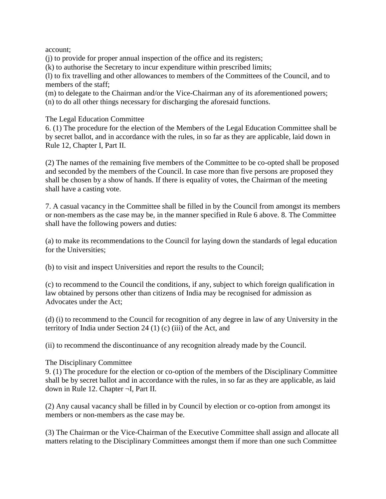account;

(j) to provide for proper annual inspection of the office and its registers;

(k) to authorise the Secretary to incur expenditure within prescribed limits;

(l) to fix travelling and other allowances to members of the Committees of the Council, and to members of the staff;

(m) to delegate to the Chairman and/or the Vice-Chairman any of its aforementioned powers; (n) to do all other things necessary for discharging the aforesaid functions.

The Legal Education Committee

6. (1) The procedure for the election of the Members of the Legal Education Committee shall be by secret ballot, and in accordance with the rules, in so far as they are applicable, laid down in Rule 12, Chapter I, Part II.

(2) The names of the remaining five members of the Committee to be co-opted shall be proposed and seconded by the members of the Council. In case more than five persons are proposed they shall be chosen by a show of hands. If there is equality of votes, the Chairman of the meeting shall have a casting vote.

7. A casual vacancy in the Committee shall be filled in by the Council from amongst its members or non-members as the case may be, in the manner specified in Rule 6 above. 8. The Committee shall have the following powers and duties:

(a) to make its recommendations to the Council for laying down the standards of legal education for the Universities;

(b) to visit and inspect Universities and report the results to the Council;

(c) to recommend to the Council the conditions, if any, subject to which foreign qualification in law obtained by persons other than citizens of India may be recognised for admission as Advocates under the Act;

(d) (i) to recommend to the Council for recognition of any degree in law of any University in the territory of India under Section 24 (1) (c) (iii) of the Act, and

(ii) to recommend the discontinuance of any recognition already made by the Council.

# The Disciplinary Committee

9. (1) The procedure for the election or co-option of the members of the Disciplinary Committee shall be by secret ballot and in accordance with the rules, in so far as they are applicable, as laid down in Rule 12. Chapter ¬I, Part II.

(2) Any causal vacancy shall be filled in by Council by election or co-option from amongst its members or non-members as the case may be.

(3) The Chairman or the Vice-Chairman of the Executive Committee shall assign and allocate all matters relating to the Disciplinary Committees amongst them if more than one such Committee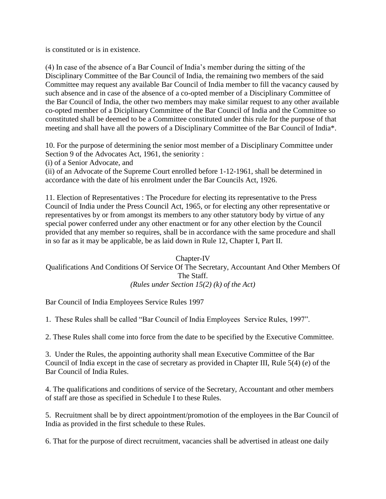is constituted or is in existence.

(4) In case of the absence of a Bar Council of India's member during the sitting of the Disciplinary Committee of the Bar Council of India, the remaining two members of the said Committee may request any available Bar Council of India member to fill the vacancy caused by such absence and in case of the absence of a co-opted member of a Disciplinary Committee of the Bar Council of India, the other two members may make similar request to any other available co-opted member of a Diciplinary Committee of the Bar Council of India and the Committee so constituted shall be deemed to be a Committee constituted under this rule for the purpose of that meeting and shall have all the powers of a Disciplinary Committee of the Bar Council of India\*.

10. For the purpose of determining the senior most member of a Disciplinary Committee under Section 9 of the Advocates Act, 1961, the seniority :

(i) of a Senior Advocate, and

(ii) of an Advocate of the Supreme Court enrolled before 1-12-1961, shall be determined in accordance with the date of his enrolment under the Bar Councils Act, 1926.

11. Election of Representatives : The Procedure for electing its representative to the Press Council of India under the Press Council Act, 1965, or for electing any other representative or representatives by or from amongst its members to any other statutory body by virtue of any special power conferred under any other enactment or for any other election by the Council provided that any member so requires, shall be in accordance with the same procedure and shall in so far as it may be applicable, be as laid down in Rule 12, Chapter I, Part II.

#### Chapter-IV Qualifications And Conditions Of Service Of The Secretary, Accountant And Other Members Of The Staff. *(Rules under Section 15(2) (k) of the Act)*

Bar Council of India Employees Service Rules 1997

1. These Rules shall be called "Bar Council of India Employees Service Rules, 1997".

2. These Rules shall come into force from the date to be specified by the Executive Committee.

3. Under the Rules, the appointing authority shall mean Executive Committee of the Bar Council of India except in the case of secretary as provided in Chapter III, Rule 5(4) (*e*) of the Bar Council of India Rules.

4. The qualifications and conditions of service of the Secretary, Accountant and other members of staff are those as specified in Schedule I to these Rules.

5. Recruitment shall be by direct appointment/promotion of the employees in the Bar Council of India as provided in the first schedule to these Rules.

6. That for the purpose of direct recruitment, vacancies shall be advertised in atleast one daily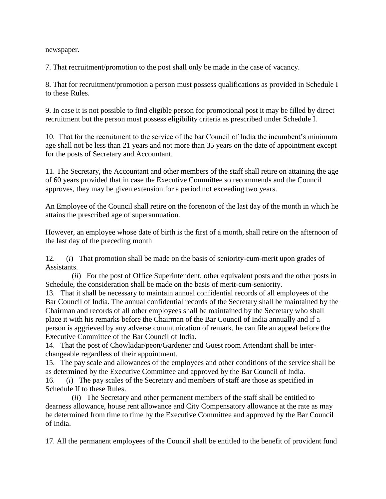newspaper.

7. That recruitment/promotion to the post shall only be made in the case of vacancy.

8. That for recruitment/promotion a person must possess qualifications as provided in Schedule I to these Rules.

9. In case it is not possible to find eligible person for promotional post it may be filled by direct recruitment but the person must possess eligibility criteria as prescribed under Schedule I.

10. That for the recruitment to the service of the bar Council of India the incumbent's minimum age shall not be less than 21 years and not more than 35 years on the date of appointment except for the posts of Secretary and Accountant.

11. The Secretary, the Accountant and other members of the staff shall retire on attaining the age of 60 years provided that in case the Executive Committee so recommends and the Council approves, they may be given extension for a period not exceeding two years.

An Employee of the Council shall retire on the forenoon of the last day of the month in which he attains the prescribed age of superannuation.

However, an employee whose date of birth is the first of a month, shall retire on the afternoon of the last day of the preceding month

12. (*i*) That promotion shall be made on the basis of seniority-cum-merit upon grades of Assistants.

(*ii*) For the post of Office Superintendent, other equivalent posts and the other posts in Schedule, the consideration shall be made on the basis of merit-cum-seniority.

13. That it shall be necessary to maintain annual confidential records of all employees of the Bar Council of India. The annual confidential records of the Secretary shall be maintained by the Chairman and records of all other employees shall be maintained by the Secretary who shall place it with his remarks before the Chairman of the Bar Council of India annually and if a person is aggrieved by any adverse communication of remark, he can file an appeal before the Executive Committee of the Bar Council of India.

14. That the post of Chowkidar/peon/Gardener and Guest room Attendant shall be interchangeable regardless of their appointment.

15. The pay scale and allowances of the employees and other conditions of the service shall be as determined by the Executive Committee and approved by the Bar Council of India.

16. (*i*) The pay scales of the Secretary and members of staff are those as specified in Schedule II to these Rules.

(*ii*) The Secretary and other permanent members of the staff shall be entitled to dearness allowance, house rent allowance and City Compensatory allowance at the rate as may be determined from time to time by the Executive Committee and approved by the Bar Council of India.

17. All the permanent employees of the Council shall be entitled to the benefit of provident fund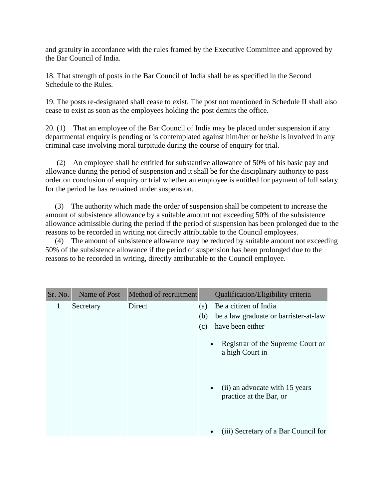and gratuity in accordance with the rules framed by the Executive Committee and approved by the Bar Council of India.

18. That strength of posts in the Bar Council of India shall be as specified in the Second Schedule to the Rules.

19. The posts re-designated shall cease to exist. The post not mentioned in Schedule II shall also cease to exist as soon as the employees holding the post demits the office.

20. (1) That an employee of the Bar Council of India may be placed under suspension if any departmental enquiry is pending or is contemplated against him/her or he/she is involved in any criminal case involving moral turpitude during the course of enquiry for trial.

(2) An employee shall be entitled for substantive allowance of 50% of his basic pay and allowance during the period of suspension and it shall be for the disciplinary authority to pass order on conclusion of enquiry or trial whether an employee is entitled for payment of full salary for the period he has remained under suspension.

(3) The authority which made the order of suspension shall be competent to increase the amount of subsistence allowance by a suitable amount not exceeding 50% of the subsistence allowance admissible during the period if the period of suspension has been prolonged due to the reasons to be recorded in writing not directly attributable to the Council employees.

(4) The amount of subsistence allowance may be reduced by suitable amount not exceeding 50% of the subsistence allowance if the period of suspension has been prolonged due to the reasons to be recorded in writing, directly attributable to the Council employee.

| Sr. No. | Name of Post | Method of recruitment |     | Qualification/Eligibility criteria                                     |
|---------|--------------|-----------------------|-----|------------------------------------------------------------------------|
| 1       | Secretary    | Direct                | (a) | Be a citizen of India                                                  |
|         |              |                       | (b) | be a law graduate or barrister-at-law                                  |
|         |              |                       | (c) | have been either $-$                                                   |
|         |              |                       |     | Registrar of the Supreme Court or<br>$\bullet$<br>a high Court in      |
|         |              |                       |     | (ii) an advocate with 15 years<br>$\bullet$<br>practice at the Bar, or |
|         |              |                       |     | (iii) Secretary of a Bar Council for<br>٠                              |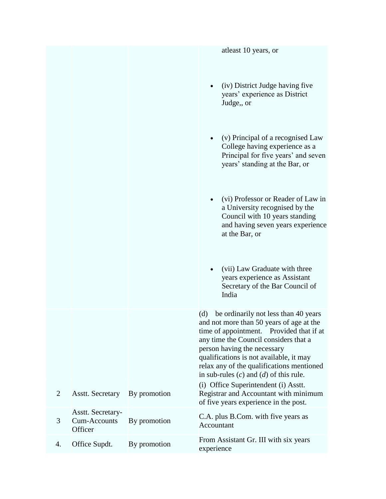|                |                                                            |              | at least 10 years, or                                                                                                                                                                                                                                                                                                                             |
|----------------|------------------------------------------------------------|--------------|---------------------------------------------------------------------------------------------------------------------------------------------------------------------------------------------------------------------------------------------------------------------------------------------------------------------------------------------------|
|                |                                                            |              | (iv) District Judge having five<br>$\bullet$<br>years' experience as District<br>Judge,, or                                                                                                                                                                                                                                                       |
|                |                                                            |              | (v) Principal of a recognised Law<br>College having experience as a<br>Principal for five years' and seven<br>years' standing at the Bar, or                                                                                                                                                                                                      |
|                |                                                            |              | (vi) Professor or Reader of Law in<br>$\bullet$<br>a University recognised by the<br>Council with 10 years standing<br>and having seven years experience<br>at the Bar, or                                                                                                                                                                        |
|                |                                                            |              | (vii) Law Graduate with three<br>$\bullet$<br>years experience as Assistant<br>Secretary of the Bar Council of<br>India                                                                                                                                                                                                                           |
|                |                                                            |              | be ordinarily not less than 40 years<br>(d)<br>and not more than 50 years of age at the<br>time of appointment. Provided that if at<br>any time the Council considers that a<br>person having the necessary<br>qualifications is not available, it may<br>relax any of the qualifications mentioned<br>in sub-rules $(c)$ and $(d)$ of this rule. |
| $\overline{2}$ | <b>Asstt. Secretary</b>                                    | By promotion | (i) Office Superintendent (i) Asstt.<br>Registrar and Accountant with minimum<br>of five years experience in the post.                                                                                                                                                                                                                            |
| 3              | <b>Asstt. Secretary-</b><br><b>Cum-Accounts</b><br>Officer | By promotion | C.A. plus B.Com. with five years as<br>Accountant                                                                                                                                                                                                                                                                                                 |
| 4.             | Office Supdt.                                              | By promotion | From Assistant Gr. III with six years<br>experience                                                                                                                                                                                                                                                                                               |